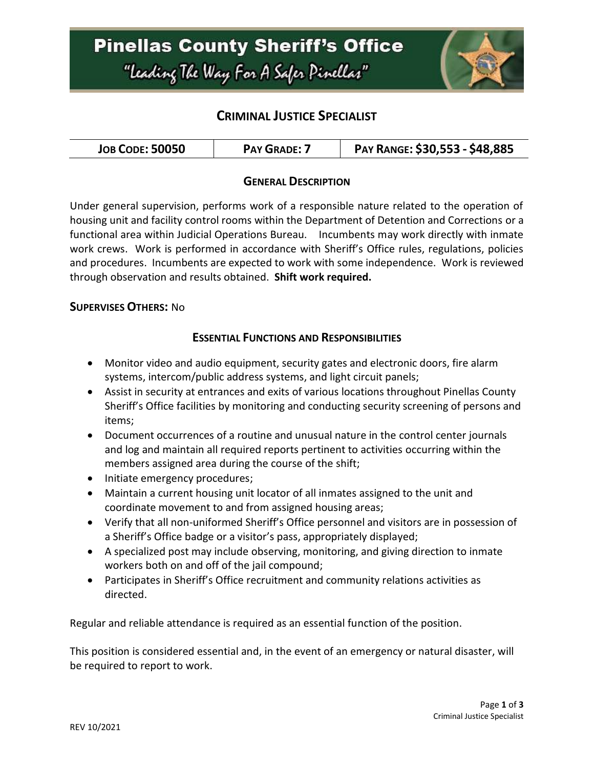

## **CRIMINAL JUSTICE SPECIALIST**

| <b>JOB CODE: 50050</b> | <b>PAY GRADE: 7</b> | PAY RANGE: \$30,553 - \$48,885 |
|------------------------|---------------------|--------------------------------|
|------------------------|---------------------|--------------------------------|

### **GENERAL DESCRIPTION**

Under general supervision, performs work of a responsible nature related to the operation of housing unit and facility control rooms within the Department of Detention and Corrections or a functional area within Judicial Operations Bureau. Incumbents may work directly with inmate work crews. Work is performed in accordance with Sheriff's Office rules, regulations, policies and procedures. Incumbents are expected to work with some independence. Work is reviewed through observation and results obtained. **Shift work required.**

#### **SUPERVISES OTHERS:** No

#### **ESSENTIAL FUNCTIONS AND RESPONSIBILITIES**

- Monitor video and audio equipment, security gates and electronic doors, fire alarm systems, intercom/public address systems, and light circuit panels;
- Assist in security at entrances and exits of various locations throughout Pinellas County Sheriff's Office facilities by monitoring and conducting security screening of persons and items;
- Document occurrences of a routine and unusual nature in the control center journals and log and maintain all required reports pertinent to activities occurring within the members assigned area during the course of the shift;
- Initiate emergency procedures;
- Maintain a current housing unit locator of all inmates assigned to the unit and coordinate movement to and from assigned housing areas;
- Verify that all non-uniformed Sheriff's Office personnel and visitors are in possession of a Sheriff's Office badge or a visitor's pass, appropriately displayed;
- A specialized post may include observing, monitoring, and giving direction to inmate workers both on and off of the jail compound;
- Participates in Sheriff's Office recruitment and community relations activities as directed.

Regular and reliable attendance is required as an essential function of the position.

This position is considered essential and, in the event of an emergency or natural disaster, will be required to report to work.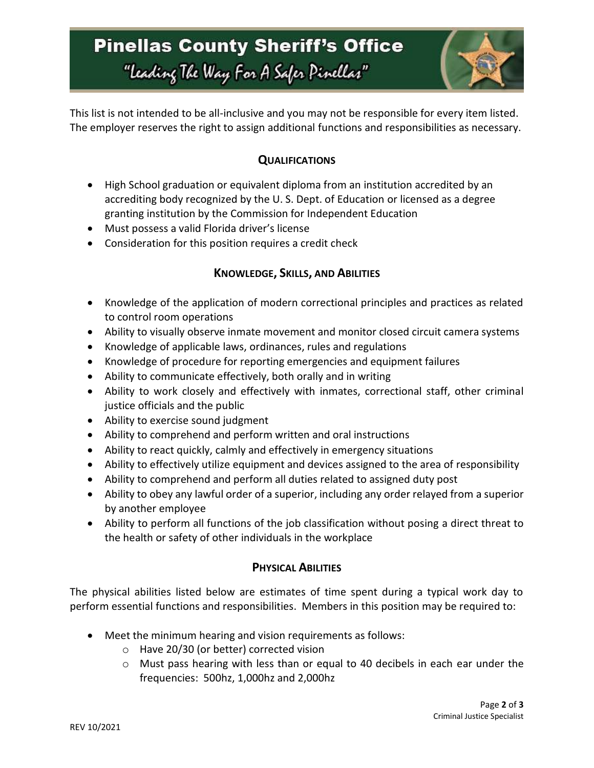

This list is not intended to be all-inclusive and you may not be responsible for every item listed. The employer reserves the right to assign additional functions and responsibilities as necessary.

## **QUALIFICATIONS**

- High School graduation or equivalent diploma from an institution accredited by an accrediting body recognized by the U. S. Dept. of Education or licensed as a degree granting institution by the Commission for Independent Education
- Must possess a valid Florida driver's license
- Consideration for this position requires a credit check

## **KNOWLEDGE, SKILLS, AND ABILITIES**

- Knowledge of the application of modern correctional principles and practices as related to control room operations
- Ability to visually observe inmate movement and monitor closed circuit camera systems
- Knowledge of applicable laws, ordinances, rules and regulations
- Knowledge of procedure for reporting emergencies and equipment failures
- Ability to communicate effectively, both orally and in writing
- Ability to work closely and effectively with inmates, correctional staff, other criminal justice officials and the public
- Ability to exercise sound judgment
- Ability to comprehend and perform written and oral instructions
- Ability to react quickly, calmly and effectively in emergency situations
- Ability to effectively utilize equipment and devices assigned to the area of responsibility
- Ability to comprehend and perform all duties related to assigned duty post
- Ability to obey any lawful order of a superior, including any order relayed from a superior by another employee
- Ability to perform all functions of the job classification without posing a direct threat to the health or safety of other individuals in the workplace

## **PHYSICAL ABILITIES**

The physical abilities listed below are estimates of time spent during a typical work day to perform essential functions and responsibilities. Members in this position may be required to:

- Meet the minimum hearing and vision requirements as follows:
	- o Have 20/30 (or better) corrected vision
	- o Must pass hearing with less than or equal to 40 decibels in each ear under the frequencies: 500hz, 1,000hz and 2,000hz